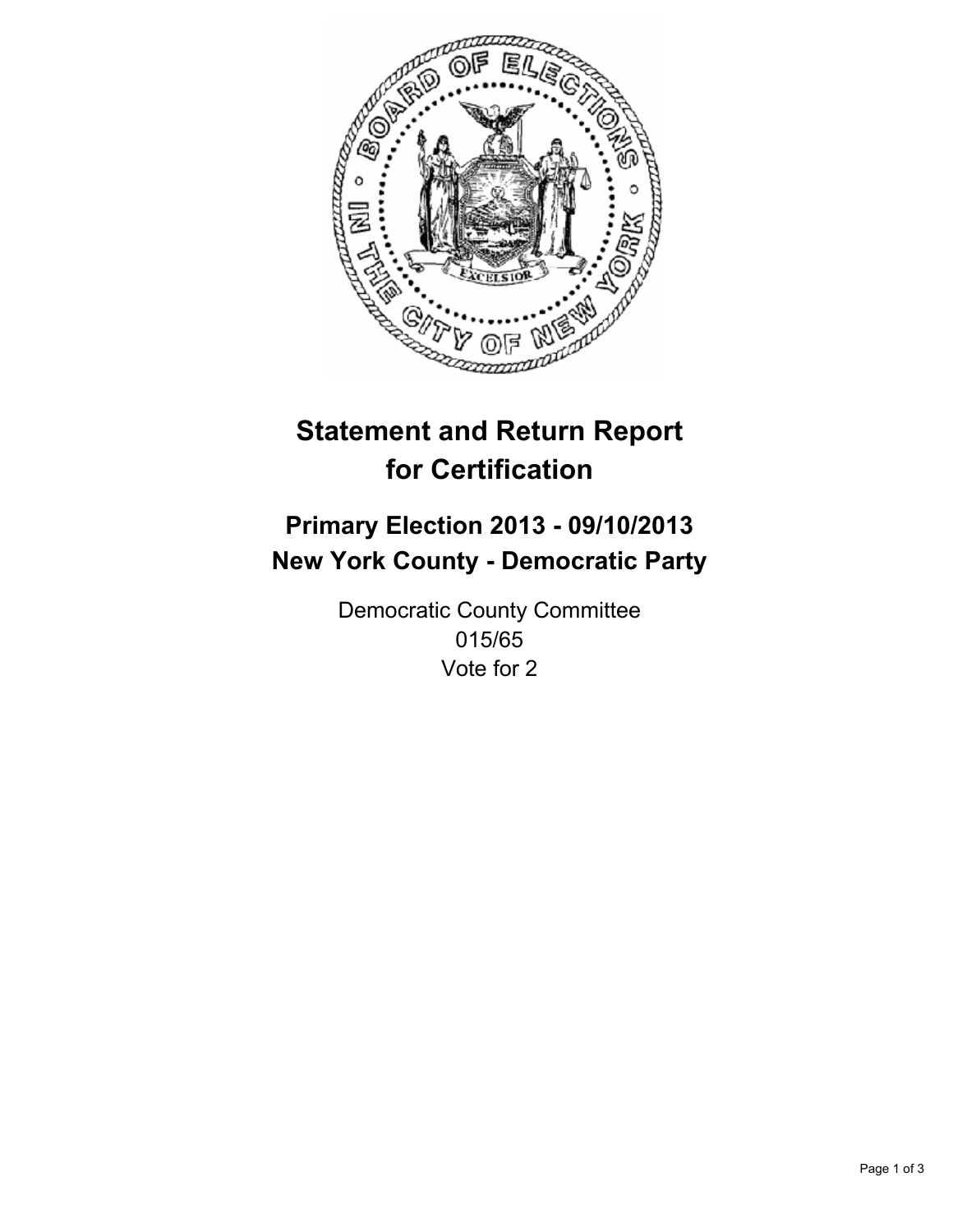

# **Statement and Return Report for Certification**

## **Primary Election 2013 - 09/10/2013 New York County - Democratic Party**

Democratic County Committee 015/65 Vote for 2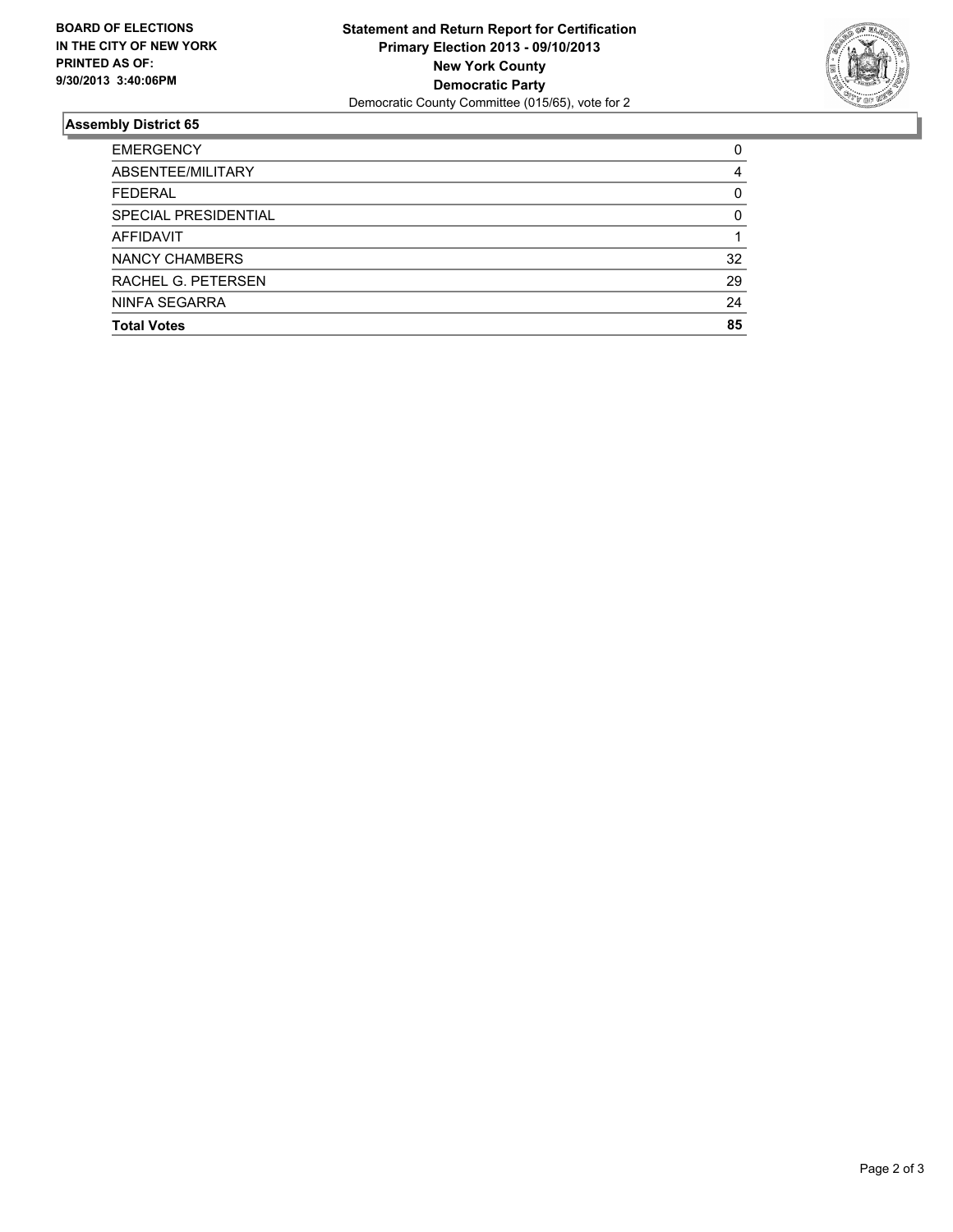

### **Assembly District 65**

| <b>EMERGENCY</b>     | 0  |
|----------------------|----|
| ABSENTEE/MILITARY    | 4  |
| <b>FEDERAL</b>       | 0  |
| SPECIAL PRESIDENTIAL | 0  |
| AFFIDAVIT            |    |
| NANCY CHAMBERS       | 32 |
| RACHEL G. PETERSEN   | 29 |
| NINFA SEGARRA        | 24 |
| <b>Total Votes</b>   | 85 |